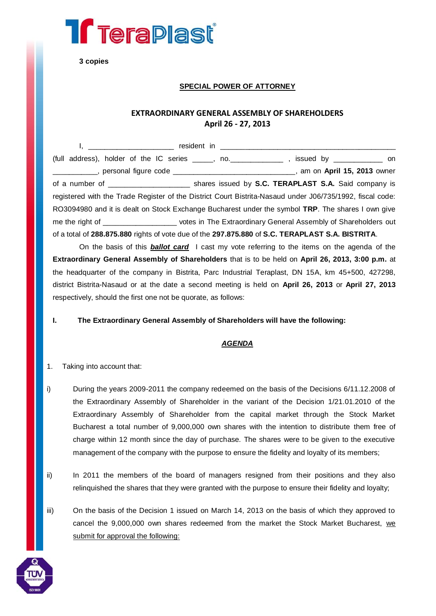

**3 copies**

## **SPECIAL POWER OF ATTORNEY**

## **EXTRAORDINARY GENERAL ASSEMBLY OF SHAREHOLDERS April 26 - 27, 2013**

I, \_\_\_\_\_\_\_\_\_\_\_\_\_\_\_\_\_\_\_\_\_ resident in \_\_\_\_\_\_\_\_\_\_\_\_\_\_\_\_\_\_\_\_\_\_\_\_\_\_\_\_\_\_\_\_\_\_\_\_\_\_\_\_\_\_\_ (full address), holder of the IC series \_\_\_\_\_, no.\_\_\_\_\_\_\_\_\_\_\_\_\_ , issued by \_\_\_\_\_\_\_\_\_\_\_\_ on \_\_\_\_\_\_\_\_\_\_\_, personal figure code \_\_\_\_\_\_\_\_\_\_\_\_\_\_\_\_\_\_\_\_\_\_\_\_\_\_\_\_\_\_, am on **April 15, 2013** owner of a number of \_\_\_\_\_\_\_\_\_\_\_\_\_\_\_\_\_\_\_\_ shares issued by **S.C. TERAPLAST S.A.** Said company is registered with the Trade Register of the District Court Bistrita-Nasaud under J06/735/1992, fiscal code: RO3094980 and it is dealt on Stock Exchange Bucharest under the symbol **TRP**. The shares I own give me the right of **Extraordinary General Assembly of Shareholders out** votes in The Extraordinary General Assembly of Shareholders out of a total of **288.875.880** rights of vote due of the **297.875.880** of **S.C. TERAPLAST S.A. BISTRITA**.

On the basis of this *ballot card* I cast my vote referring to the items on the agenda of the **Extraordinary General Assembly of Shareholders** that is to be held on **April 26, 2013, 3:00 p.m.** at the headquarter of the company in Bistrita, Parc Industrial Teraplast, DN 15A, km 45+500, 427298, district Bistrita-Nasaud or at the date a second meeting is held on **April 26, 2013** or **April 27, 2013** respectively, should the first one not be quorate, as follows:

**I. The Extraordinary General Assembly of Shareholders will have the following:**

## *AGENDA*

- 1. Taking into account that:
- i) During the years 2009-2011 the company redeemed on the basis of the Decisions 6/11.12.2008 of the Extraordinary Assembly of Shareholder in the variant of the Decision 1/21.01.2010 of the Extraordinary Assembly of Shareholder from the capital market through the Stock Market Bucharest a total number of 9,000,000 own shares with the intention to distribute them free of charge within 12 month since the day of purchase. The shares were to be given to the executive management of the company with the purpose to ensure the fidelity and loyalty of its members;
- ii) In 2011 the members of the board of managers resigned from their positions and they also relinquished the shares that they were granted with the purpose to ensure their fidelity and loyalty;
- iii) On the basis of the Decision 1 issued on March 14, 2013 on the basis of which they approved to cancel the 9,000,000 own shares redeemed from the market the Stock Market Bucharest, we submit for approval the following:

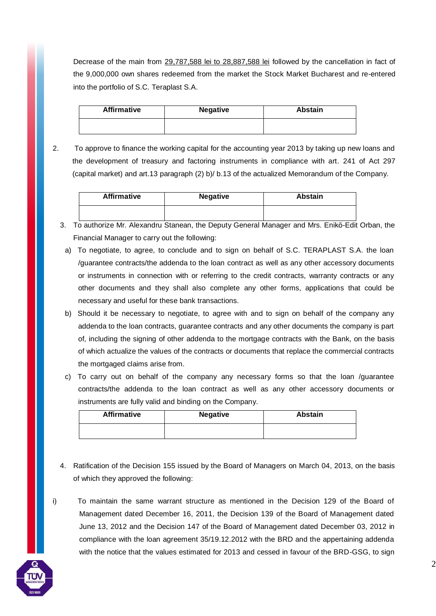Decrease of the main from 29,787,588 lei to 28,887,588 lei followed by the cancellation in fact of the 9,000,000 own shares redeemed from the market the Stock Market Bucharest and re-entered into the portfolio of S.C. Teraplast S.A.

| <b>Affirmative</b> | <b>Negative</b> | <b>Abstain</b> |
|--------------------|-----------------|----------------|
|                    |                 |                |

2. To approve to finance the working capital for the accounting year 2013 by taking up new loans and the development of treasury and factoring instruments in compliance with art. 241 of Act 297 (capital market) and art.13 paragraph (2) b)/ b.13 of the actualized Memorandum of the Company.

| <b>Affirmative</b> | <b>Negative</b> | <b>Abstain</b> |
|--------------------|-----------------|----------------|
|                    |                 |                |

- 3. To authorize Mr. Alexandru Stanean, the Deputy General Manager and Mrs. Enikö-Edit Orban, the Financial Manager to carry out the following:
	- a) To negotiate, to agree, to conclude and to sign on behalf of S.C. TERAPLAST S.A. the loan /guarantee contracts/the addenda to the loan contract as well as any other accessory documents or instruments in connection with or referring to the credit contracts, warranty contracts or any other documents and they shall also complete any other forms, applications that could be necessary and useful for these bank transactions.
	- b) Should it be necessary to negotiate, to agree with and to sign on behalf of the company any addenda to the loan contracts, guarantee contracts and any other documents the company is part of, including the signing of other addenda to the mortgage contracts with the Bank, on the basis of which actualize the values of the contracts or documents that replace the commercial contracts the mortgaged claims arise from.
	- c) To carry out on behalf of the company any necessary forms so that the loan /guarantee contracts/the addenda to the loan contract as well as any other accessory documents or instruments are fully valid and binding on the Company.

| <b>Affirmative</b> | <b>Negative</b> | Abstain |
|--------------------|-----------------|---------|
|                    |                 |         |

- 4. Ratification of the Decision 155 issued by the Board of Managers on March 04, 2013, on the basis of which they approved the following:
- i) To maintain the same warrant structure as mentioned in the Decision 129 of the Board of Management dated December 16, 2011, the Decision 139 of the Board of Management dated June 13, 2012 and the Decision 147 of the Board of Management dated December 03, 2012 in compliance with the loan agreement 35/19.12.2012 with the BRD and the appertaining addenda with the notice that the values estimated for 2013 and cessed in favour of the BRD-GSG, to sign

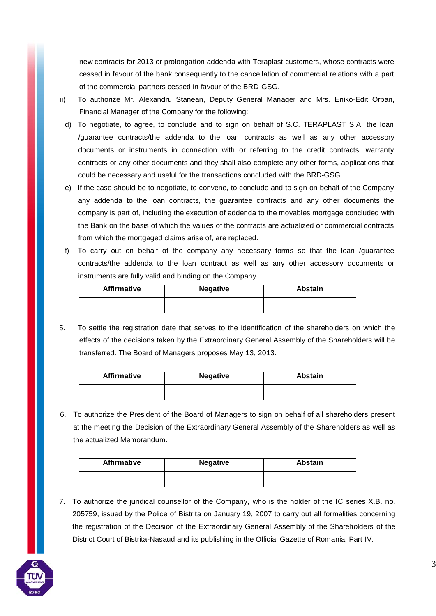new contracts for 2013 or prolongation addenda with Teraplast customers, whose contracts were cessed in favour of the bank consequently to the cancellation of commercial relations with a part of the commercial partners cessed in favour of the BRD-GSG.

- ii) To authorize Mr. Alexandru Stanean, Deputy General Manager and Mrs. Enikö-Edit Orban, Financial Manager of the Company for the following:
	- d) To negotiate, to agree, to conclude and to sign on behalf of S.C. TERAPLAST S.A. the loan /guarantee contracts/the addenda to the loan contracts as well as any other accessory documents or instruments in connection with or referring to the credit contracts, warranty contracts or any other documents and they shall also complete any other forms, applications that could be necessary and useful for the transactions concluded with the BRD-GSG.
	- e) If the case should be to negotiate, to convene, to conclude and to sign on behalf of the Company any addenda to the loan contracts, the guarantee contracts and any other documents the company is part of, including the execution of addenda to the movables mortgage concluded with the Bank on the basis of which the values of the contracts are actualized or commercial contracts from which the mortgaged claims arise of, are replaced.
	- f) To carry out on behalf of the company any necessary forms so that the loan /guarantee contracts/the addenda to the loan contract as well as any other accessory documents or instruments are fully valid and binding on the Company.

| <b>Affirmative</b> | <b>Negative</b> | <b>Abstain</b> |
|--------------------|-----------------|----------------|
|                    |                 |                |

5. To settle the registration date that serves to the identification of the shareholders on which the effects of the decisions taken by the Extraordinary General Assembly of the Shareholders will be transferred. The Board of Managers proposes May 13, 2013.

| <b>Affirmative</b> | <b>Negative</b> | <b>Abstain</b> |
|--------------------|-----------------|----------------|
|                    |                 |                |

6. To authorize the President of the Board of Managers to sign on behalf of all shareholders present at the meeting the Decision of the Extraordinary General Assembly of the Shareholders as well as the actualized Memorandum.

| <b>Affirmative</b> | <b>Negative</b> | Abstain |
|--------------------|-----------------|---------|
|                    |                 |         |

7. To authorize the juridical counsellor of the Company, who is the holder of the IC series X.B. no. 205759, issued by the Police of Bistrita on January 19, 2007 to carry out all formalities concerning the registration of the Decision of the Extraordinary General Assembly of the Shareholders of the District Court of Bistrita-Nasaud and its publishing in the Official Gazette of Romania, Part IV.